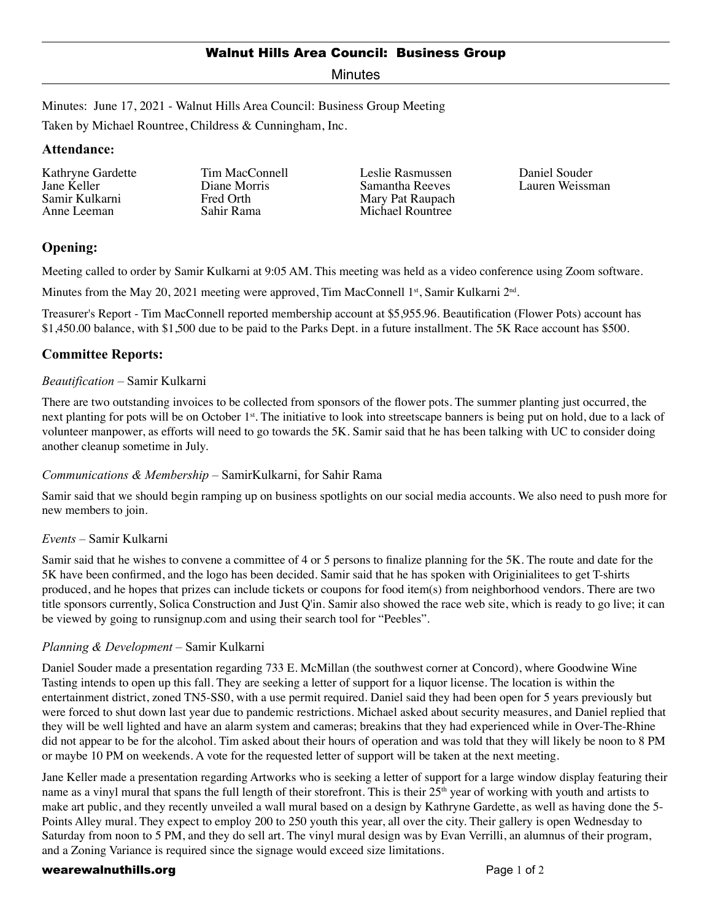# Walnut Hills Area Council: Business Group

Minutes

Minutes: June 17, 2021 - Walnut Hills Area Council: Business Group Meeting

Taken by Michael Rountree, Childress & Cunningham, Inc.

### **Attendance:**

Kathryne Gardette Jane Keller Samir Kulkarni Anne Leeman

Tim MacConnell Diane Morris Fred Orth Sahir Rama

Leslie Rasmussen Samantha Reeves Mary Pat Raupach Michael Rountree

Daniel Souder Lauren Weissman

# **Opening:**

Meeting called to order by Samir Kulkarni at 9:05 AM. This meeting was held as a video conference using Zoom software.

Minutes from the May 20, 2021 meeting were approved, Tim MacConnell  $1<sup>st</sup>$ , Samir Kulkarni  $2<sup>nd</sup>$ .

Treasurer's Report - Tim MacConnell reported membership account at \$5,955.96. Beautification (Flower Pots) account has \$1,450.00 balance, with \$1,500 due to be paid to the Parks Dept. in a future installment. The 5K Race account has \$500.

# **Committee Reports:**

### *Beautification* – Samir Kulkarni

There are two outstanding invoices to be collected from sponsors of the flower pots. The summer planting just occurred, the next planting for pots will be on October 1<sup>st</sup>. The initiative to look into streetscape banners is being put on hold, due to a lack of volunteer manpower, as efforts will need to go towards the 5K. Samir said that he has been talking with UC to consider doing another cleanup sometime in July.

## *Communications & Membership* – SamirKulkarni, for Sahir Rama

Samir said that we should begin ramping up on business spotlights on our social media accounts. We also need to push more for new members to join.

## *Events* – Samir Kulkarni

Samir said that he wishes to convene a committee of 4 or 5 persons to finalize planning for the 5K. The route and date for the 5K have been confirmed, and the logo has been decided. Samir said that he has spoken with Originialitees to get T-shirts produced, and he hopes that prizes can include tickets or coupons for food item(s) from neighborhood vendors. There are two title sponsors currently, Solica Construction and Just Q'in. Samir also showed the race web site, which is ready to go live; it can be viewed by going to runsignup.com and using their search tool for "Peebles".

#### *Planning & Development* – Samir Kulkarni

Daniel Souder made a presentation regarding 733 E. McMillan (the southwest corner at Concord), where Goodwine Wine Tasting intends to open up this fall. They are seeking a letter of support for a liquor license. The location is within the entertainment district, zoned TN5-SS0, with a use permit required. Daniel said they had been open for 5 years previously but were forced to shut down last year due to pandemic restrictions. Michael asked about security measures, and Daniel replied that they will be well lighted and have an alarm system and cameras; breakins that they had experienced while in Over-The-Rhine did not appear to be for the alcohol. Tim asked about their hours of operation and was told that they will likely be noon to 8 PM or maybe 10 PM on weekends. A vote for the requested letter of support will be taken at the next meeting.

Jane Keller made a presentation regarding Artworks who is seeking a letter of support for a large window display featuring their name as a vinyl mural that spans the full length of their storefront. This is their 25<sup>th</sup> year of working with youth and artists to make art public, and they recently unveiled a wall mural based on a design by Kathryne Gardette, as well as having done the 5- Points Alley mural. They expect to employ 200 to 250 youth this year, all over the city. Their gallery is open Wednesday to Saturday from noon to 5 PM, and they do sell art. The vinyl mural design was by Evan Verrilli, an alumnus of their program, and a Zoning Variance is required since the signage would exceed size limitations.

#### wearewalnuthills.org **Page 1 of 2** and 2 and 2 and 2 and 2 and 2 and 2 and 2 and 2 and 2 and 2 and 2 and 2 and 2 and 2 and 2 and 2 and 2 and 2 and 2 and 2 and 2 and 2 and 2 and 2 and 2 and 2 and 2 and 2 and 2 and 2 and 2 a